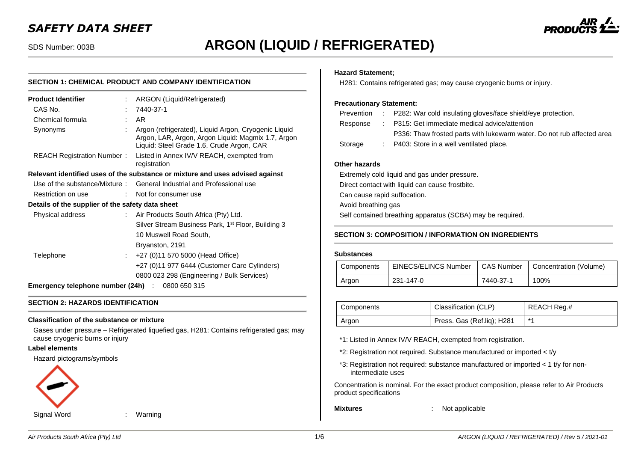# SDS Number: 003B **ARGON (LIQUID / REFRIGERATED)**

# **SECTION 1: CHEMICAL PRODUCT AND COMPANY IDENTIFICATION Product Identifier** : ARGON (Liquid/Refrigerated) CAS No. : 7440-37-1 Chemical formula : AR Synonyms : Argon (refrigerated), Liquid Argon, Cryogenic Liquid Argon, LAR, Argon, Argon Liquid: Magmix 1.7, Argon Liquid: Steel Grade 1.6, Crude Argon, CAR REACH Registration Number : Listed in Annex IV/V REACH, exempted from registration **Relevant identified uses of the substance or mixture and uses advised against** Use of the substance/Mixture : General Industrial and Professional use Restriction on use : Not for consumer use **Details of the supplier of the safety data sheet** Physical address : Air Products South Africa (Pty) Ltd. Silver Stream Business Park, 1<sup>st</sup> Floor, Building 3 10 Muswell Road South, Bryanston, 2191 Telephone : +27 (0)11 570 5000 (Head Office) +27 (0)11 977 6444 (Customer Care Cylinders) 0800 023 298 (Engineering / Bulk Services)

**Emergency telephone number (24h)** : 0800 650 315

# **SECTION 2: HAZARDS IDENTIFICATION**

## **Classification of the substance or mixture**

Gases under pressure – Refrigerated liquefied gas, H281: Contains refrigerated gas; may cause cryogenic burns or injury

## **Label elements**

Hazard pictograms/symbols



**Hazard Statement;**

H281: Contains refrigerated gas; may cause cryogenic burns or injury.

# **Precautionary Statement:**

| P336: Thaw frosted parts with lukewarm water. Do not rub affected area |
|------------------------------------------------------------------------|
|                                                                        |
|                                                                        |

# **Other hazards**

Extremely cold liquid and gas under pressure. Direct contact with liquid can cause frostbite. Can cause rapid suffocation. Avoid breathing gas Self contained breathing apparatus (SCBA) may be required.

# **SECTION 3: COMPOSITION / INFORMATION ON INGREDIENTS**

## **Substances**

| Components | EINECS/ELINCS Number | CAS Number | Concentration (Volume) |
|------------|----------------------|------------|------------------------|
| Argon      | 231-147-0            | 7440-37-1  | 100%                   |

| Components | Classification (CLP)       | REACH Reg.# |
|------------|----------------------------|-------------|
| Argon      | Press. Gas (Ref.liq); H281 | $*$         |

- \*1: Listed in Annex IV/V REACH, exempted from registration.
- \*2: Registration not required. Substance manufactured or imported < t/y
- \*3: Registration not required: substance manufactured or imported < 1 t/y for nonintermediate uses

Concentration is nominal. For the exact product composition, please refer to Air Products product specifications

**Mixtures** : Not applicable

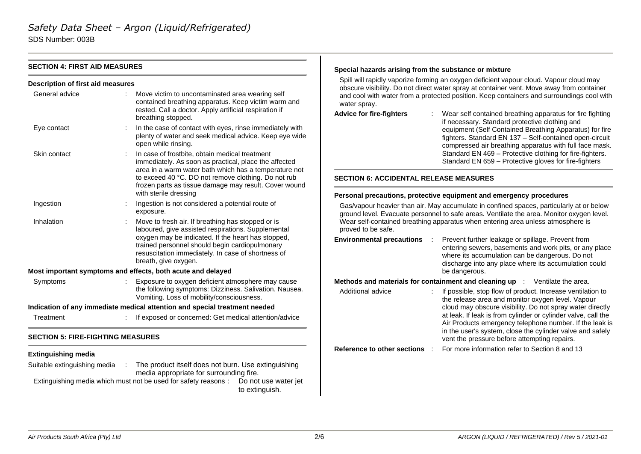| <b>SECTION 4: FIRST AID MEASURES</b>     |  |                                                                                                                                                                                                                                                                                               | Special hazards arising from the substance or mixture                                                                                                                               |                                                                                                                                                                                                                         |  |  |
|------------------------------------------|--|-----------------------------------------------------------------------------------------------------------------------------------------------------------------------------------------------------------------------------------------------------------------------------------------------|-------------------------------------------------------------------------------------------------------------------------------------------------------------------------------------|-------------------------------------------------------------------------------------------------------------------------------------------------------------------------------------------------------------------------|--|--|
| <b>Description of first aid measures</b> |  |                                                                                                                                                                                                                                                                                               | Spill will rapidly vaporize forming an oxygen deficient vapour cloud. Vapour cloud may<br>obscure visibility. Do not direct water spray at container vent. Move away from container |                                                                                                                                                                                                                         |  |  |
| General advice                           |  | Move victim to uncontaminated area wearing self<br>contained breathing apparatus. Keep victim warm and<br>rested. Call a doctor. Apply artificial respiration if<br>breathing stopped.                                                                                                        | water spray.<br><b>Advice for fire-fighters</b>                                                                                                                                     | and cool with water from a protected position. Keep containers and surroundings cool with<br>Wear self contained breathing apparatus for fire fighting<br>if necessary. Standard protective clothing and                |  |  |
| Eye contact                              |  | In the case of contact with eyes, rinse immediately with<br>plenty of water and seek medical advice. Keep eye wide<br>open while rinsing.                                                                                                                                                     |                                                                                                                                                                                     | equipment (Self Contained Breathing Apparatus) for fire<br>fighters. Standard EN 137 - Self-contained open-circuit<br>compressed air breathing apparatus with full face mask.                                           |  |  |
| Skin contact                             |  | In case of frostbite, obtain medical treatment<br>immediately. As soon as practical, place the affected<br>area in a warm water bath which has a temperature not                                                                                                                              |                                                                                                                                                                                     | Standard EN 469 - Protective clothing for fire-fighters.<br>Standard EN 659 - Protective gloves for fire-fighters                                                                                                       |  |  |
|                                          |  | to exceed 40 °C. DO not remove clothing. Do not rub<br>frozen parts as tissue damage may result. Cover wound<br>with sterile dressing                                                                                                                                                         | <b>SECTION 6: ACCIDENTAL RELEASE MEASURES</b>                                                                                                                                       |                                                                                                                                                                                                                         |  |  |
|                                          |  |                                                                                                                                                                                                                                                                                               |                                                                                                                                                                                     | Personal precautions, protective equipment and emergency procedures                                                                                                                                                     |  |  |
| Ingestion                                |  | Ingestion is not considered a potential route of<br>exposure.                                                                                                                                                                                                                                 |                                                                                                                                                                                     | Gas/vapour heavier than air. May accumulate in confined spaces, particularly at or below<br>ground level. Evacuate personnel to safe areas. Ventilate the area. Monitor oxygen level.                                   |  |  |
| Inhalation                               |  | Move to fresh air. If breathing has stopped or is<br>laboured, give assisted respirations. Supplemental<br>oxygen may be indicated. If the heart has stopped,<br>trained personnel should begin cardiopulmonary<br>resuscitation immediately. In case of shortness of<br>breath, give oxygen. | Wear self-contained breathing apparatus when entering area unless atmosphere is<br>proved to be safe.                                                                               |                                                                                                                                                                                                                         |  |  |
|                                          |  |                                                                                                                                                                                                                                                                                               | <b>Environmental precautions</b>                                                                                                                                                    | Prevent further leakage or spillage. Prevent from<br>entering sewers, basements and work pits, or any place<br>where its accumulation can be dangerous. Do not<br>discharge into any place where its accumulation could |  |  |
|                                          |  | Most important symptoms and effects, both acute and delayed                                                                                                                                                                                                                                   |                                                                                                                                                                                     | be dangerous.                                                                                                                                                                                                           |  |  |
| Symptoms                                 |  | Exposure to oxygen deficient atmosphere may cause                                                                                                                                                                                                                                             |                                                                                                                                                                                     | Methods and materials for containment and cleaning up : Ventilate the area.                                                                                                                                             |  |  |
|                                          |  | the following symptoms: Dizziness. Salivation. Nausea.<br>Vomiting. Loss of mobility/consciousness.                                                                                                                                                                                           | Additional advice                                                                                                                                                                   | If possible, stop flow of product. Increase ventilation to<br>the release area and monitor oxygen level. Vapour                                                                                                         |  |  |
|                                          |  | Indication of any immediate medical attention and special treatment needed                                                                                                                                                                                                                    |                                                                                                                                                                                     | cloud may obscure visibility. Do not spray water directly                                                                                                                                                               |  |  |
| Treatment                                |  | If exposed or concerned: Get medical attention/advice                                                                                                                                                                                                                                         |                                                                                                                                                                                     | at leak. If leak is from cylinder or cylinder valve, call the<br>Air Products emergency telephone number. If the leak is                                                                                                |  |  |
| <b>SECTION 5: FIRE-FIGHTING MEASURES</b> |  |                                                                                                                                                                                                                                                                                               |                                                                                                                                                                                     | in the user's system, close the cylinder valve and safely<br>vent the pressure before attempting repairs.                                                                                                               |  |  |
| <b>Extinguishing media</b>               |  |                                                                                                                                                                                                                                                                                               | Reference to other sections :                                                                                                                                                       | For more information refer to Section 8 and 13                                                                                                                                                                          |  |  |
| Suitable extinguishing media             |  | The product itself does not burn. Use extinguishing<br>media appropriate for surrounding fire.                                                                                                                                                                                                |                                                                                                                                                                                     |                                                                                                                                                                                                                         |  |  |
|                                          |  | Extinguishing media which must not be used for safety reasons :  Do not use water jet                                                                                                                                                                                                         |                                                                                                                                                                                     |                                                                                                                                                                                                                         |  |  |

to extinguish.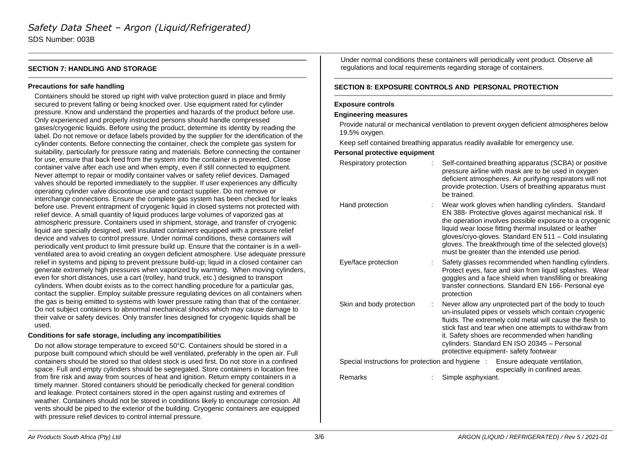# **SECTION 7: HANDLING AND STORAGE**

### **Precautions for safe handling**

Containers should be stored up right with valve protection guard in place and firmly secured to prevent falling or being knocked over. Use equipment rated for cylinder pressure. Know and understand the properties and hazards of the product before use. Only experienced and properly instructed persons should handle compressed gases/cryogenic liquids. Before using the product, determine its identity by reading the label. Do not remove or deface labels provided by the supplier for the identification of the cylinder contents. Before connecting the container, check the complete gas system for suitability, particularly for pressure rating and materials. Before connecting the container for use, ensure that back feed from the system into the container is prevented. Close container valve after each use and when empty, even if still connected to equipment. Never attempt to repair or modify container valves or safety relief devices. Damaged valves should be reported immediately to the supplier. If user experiences any difficulty operating cylinder valve discontinue use and contact supplier. Do not remove or interchange connections. Ensure the complete gas system has been checked for leaks before use. Prevent entrapment of cryogenic liquid in closed systems not protected with relief device. A small quantity of liquid produces large volumes of vaporized gas at atmospheric pressure. Containers used in shipment, storage, and transfer of cryogenic liquid are specially designed, well insulated containers equipped with a pressure relief device and valves to control pressure. Under normal conditions, these containers will periodically vent product to limit pressure build up. Ensure that the container is in a wellventilated area to avoid creating an oxygen deficient atmosphere. Use adequate pressure relief in systems and piping to prevent pressure build-up; liquid in a closed container can generate extremely high pressures when vaporized by warming. When moving cylinders, even for short distances, use a cart (trolley, hand truck, etc.) designed to transport cylinders. When doubt exists as to the correct handling procedure for a particular gas, contact the supplier. Employ suitable pressure regulating devices on all containers when the gas is being emitted to systems with lower pressure rating than that of the container. Do not subject containers to abnormal mechanical shocks which may cause damage to their valve or safety devices. Only transfer lines designed for cryogenic liquids shall be used.

## **Conditions for safe storage, including any incompatibilities**

Do not allow storage temperature to exceed 50°C. Containers should be stored in a purpose built compound which should be well ventilated, preferably in the open air. Full containers should be stored so that oldest stock is used first. Do not store in a confined space. Full and empty cylinders should be segregated. Store containers in location free from fire risk and away from sources of heat and ignition. Return empty containers in a timely manner. Stored containers should be periodically checked for general condition and leakage. Protect containers stored in the open against rusting and extremes of weather. Containers should not be stored in conditions likely to encourage corrosion. All vents should be piped to the exterior of the building. Cryogenic containers are equipped with pressure relief devices to control internal pressure.

Under normal conditions these containers will periodically vent product. Observe all regulations and local requirements regarding storage of containers.

# **SECTION 8: EXPOSURE CONTROLS AND PERSONAL PROTECTION**

#### **Exposure controls**

#### **Engineering measures**

Provide natural or mechanical ventilation to prevent oxygen deficient atmospheres below 19.5% oxygen.

Keep self contained breathing apparatus readily available for emergency use.

#### **Personal protective equipment**

| Respiratory protection                            | Self-contained breathing apparatus (SCBA) or positive<br>pressure airline with mask are to be used in oxygen<br>deficient atmospheres. Air purifying respirators will not<br>provide protection. Users of breathing apparatus must<br>be trained.                                                                                                                                                    |
|---------------------------------------------------|------------------------------------------------------------------------------------------------------------------------------------------------------------------------------------------------------------------------------------------------------------------------------------------------------------------------------------------------------------------------------------------------------|
| Hand protection                                   | Wear work gloves when handling cylinders. Standard<br>EN 388- Protective gloves against mechanical risk. If<br>the operation involves possible exposure to a cryogenic<br>liquid wear loose fitting thermal insulated or leather<br>gloves/cryo-gloves. Standard EN 511 - Cold insulating<br>gloves. The breakthrough time of the selected glove(s)<br>must be greater than the intended use period. |
| Eye/face protection                               | Safety glasses recommended when handling cylinders.<br>Protect eyes, face and skin from liquid splashes. Wear<br>goggles and a face shield when transfilling or breaking<br>transfer connections. Standard EN 166- Personal eye<br>protection                                                                                                                                                        |
| Skin and body protection                          | Never allow any unprotected part of the body to touch<br>un-insulated pipes or vessels which contain cryogenic<br>fluids. The extremely cold metal will cause the flesh to<br>stick fast and tear when one attempts to withdraw from<br>it. Safety shoes are recommended when handling<br>cylinders. Standard EN ISO 20345 - Personal<br>protective equipment- safety footwear                       |
| Special instructions for protection and hygiene : | Ensure adequate ventilation,<br>especially in confined areas.                                                                                                                                                                                                                                                                                                                                        |
| Remarks                                           | Simple asphyxiant.                                                                                                                                                                                                                                                                                                                                                                                   |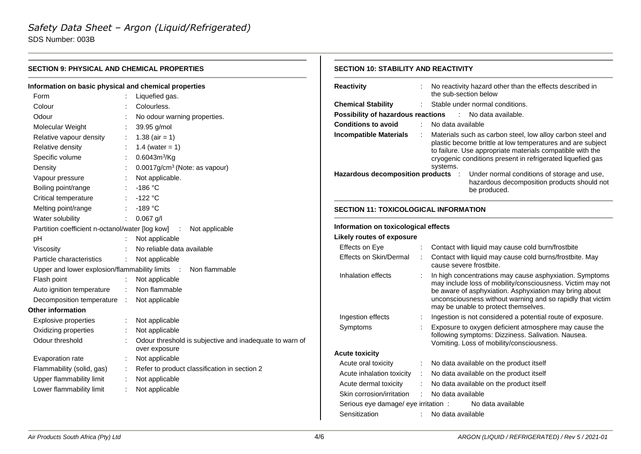# *Safety Data Sheet – Argon (Liquid/Refrigerated)*

SDS Number: 003B

| <b>SECTION 9: PHYSICAL AND CHEMICAL PROPERTIES</b>    |          | <b>SECTION 10: STABILITY AND REACTIVITY</b>                              |                                              |                             |                                                                                                                         |
|-------------------------------------------------------|----------|--------------------------------------------------------------------------|----------------------------------------------|-----------------------------|-------------------------------------------------------------------------------------------------------------------------|
| Information on basic physical and chemical properties |          |                                                                          | <b>Reactivity</b>                            |                             | No reactivity hazard other than the effects described in                                                                |
| Form                                                  |          | Liquefied gas.                                                           |                                              |                             | the sub-section below                                                                                                   |
| Colour                                                |          | Colourless.                                                              | <b>Chemical Stability</b>                    |                             | Stable under normal conditions.                                                                                         |
| Odour                                                 |          | No odour warning properties.                                             | Possibility of hazardous reactions           |                             | : No data available.                                                                                                    |
| Molecular Weight                                      |          | 39.95 g/mol                                                              | <b>Conditions to avoid</b>                   | $\mathcal{L}_{\mathcal{A}}$ | No data available                                                                                                       |
| Relative vapour density                               |          | 1.38 (air = 1)                                                           | <b>Incompatible Materials</b>                |                             | Materials such as carbon steel, low alloy carbon steel and                                                              |
| Relative density                                      |          | 1.4 (water = $1$ )                                                       |                                              |                             | plastic become brittle at low temperatures and are subject<br>to failure. Use appropriate materials compatible with the |
| Specific volume                                       |          | $0.6043m^{3}/Kg$                                                         |                                              |                             | cryogenic conditions present in refrigerated liquefied gas                                                              |
| Density                                               |          | 0.0017g/cm <sup>3</sup> (Note: as vapour)                                |                                              |                             | systems.                                                                                                                |
| Vapour pressure                                       |          | Not applicable.                                                          | Hazardous decomposition products :           |                             | Under normal conditions of storage and use,<br>hazardous decomposition products should not                              |
| Boiling point/range                                   |          | $-186 °C$                                                                |                                              |                             | be produced.                                                                                                            |
| Critical temperature                                  |          | -122 $\degree$ C                                                         |                                              |                             |                                                                                                                         |
| Melting point/range                                   |          | $-189 °C$                                                                | <b>SECTION 11: TOXICOLOGICAL INFORMATION</b> |                             |                                                                                                                         |
| Water solubility                                      |          | $0.067$ g/l                                                              |                                              |                             |                                                                                                                         |
| Partition coefficient n-octanol/water [log kow]       |          | Not applicable                                                           | Information on toxicological effects         |                             |                                                                                                                         |
| pH                                                    |          | Not applicable                                                           | Likely routes of exposure                    |                             |                                                                                                                         |
| Viscosity                                             |          | No reliable data available                                               | Effects on Eye                               |                             | Contact with liquid may cause cold burn/frostbite                                                                       |
| Particle characteristics                              |          | Not applicable                                                           | Effects on Skin/Dermal                       |                             | Contact with liquid may cause cold burns/frostbite. May                                                                 |
| Upper and lower explosion/flammability limits         |          | Non flammable<br>$\sim 10$                                               |                                              |                             | cause severe frostbite.                                                                                                 |
| Flash point                                           |          | Not applicable                                                           | Inhalation effects                           |                             | In high concentrations may cause asphyxiation. Symptoms<br>may include loss of mobility/consciousness. Victim may not   |
| Auto ignition temperature                             |          | Non flammable                                                            |                                              |                             | be aware of asphyxiation. Asphyxiation may bring about                                                                  |
| Decomposition temperature                             | $\sim$ 1 | Not applicable                                                           |                                              |                             | unconsciousness without warning and so rapidly that victim                                                              |
| <b>Other information</b>                              |          |                                                                          |                                              |                             | may be unable to protect themselves.                                                                                    |
| <b>Explosive properties</b>                           |          | Not applicable                                                           | Ingestion effects                            |                             | Ingestion is not considered a potential route of exposure.                                                              |
| Oxidizing properties                                  |          | Not applicable                                                           | Symptoms                                     |                             | Exposure to oxygen deficient atmosphere may cause the                                                                   |
| Odour threshold                                       |          | Odour threshold is subjective and inadequate to warn of<br>over exposure |                                              |                             | following symptoms: Dizziness. Salivation. Nausea.<br>Vomiting. Loss of mobility/consciousness.                         |
| Evaporation rate                                      |          | Not applicable                                                           | <b>Acute toxicity</b>                        |                             |                                                                                                                         |
| Flammability (solid, gas)                             |          | Refer to product classification in section 2                             | Acute oral toxicity                          |                             | No data available on the product itself                                                                                 |
| Upper flammability limit                              |          | Not applicable                                                           | Acute inhalation toxicity                    |                             | No data available on the product itself                                                                                 |
| Lower flammability limit                              |          | Not applicable                                                           | Acute dermal toxicity                        |                             | No data available on the product itself                                                                                 |
|                                                       |          |                                                                          | Skin corrosion/irritation                    |                             | No data available                                                                                                       |
|                                                       |          |                                                                          | Serious eye damage/ eye irritation :         |                             | No data available                                                                                                       |
|                                                       |          |                                                                          | Sensitization                                |                             | No data available                                                                                                       |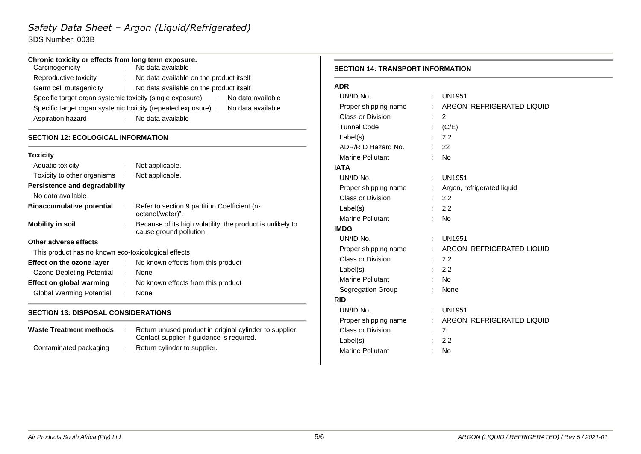# *Safety Data Sheet – Argon (Liquid/Refrigerated)* SDS Number: 003B

# **Chronic toxicity or effects from long term exposure.**

| Carcinogenicity        | : No data available                                                              |
|------------------------|----------------------------------------------------------------------------------|
| Reproductive toxicity  | : No data available on the product itself                                        |
| Germ cell mutagenicity | : No data available on the product itself                                        |
|                        | Specific target organ systemic toxicity (single exposure)<br>: No data available |
|                        | Specific target organ systemic toxicity (repeated exposure) : No data available  |
| Aspiration hazard      | : No data available                                                              |

# **SECTION 12: ECOLOGICAL INFORMATION**

| <b>Toxicity</b>                                     |    |                                                                                       |
|-----------------------------------------------------|----|---------------------------------------------------------------------------------------|
| Aquatic toxicity                                    |    | Not applicable.                                                                       |
| Toxicity to other organisms :                       |    | Not applicable.                                                                       |
| Persistence and degradability                       |    |                                                                                       |
| No data available                                   |    |                                                                                       |
| <b>Bioaccumulative potential</b>                    |    | Refer to section 9 partition Coefficient (n-<br>octanol/water)".                      |
| <b>Mobility in soil</b>                             |    | Because of its high volatility, the product is unlikely to<br>cause ground pollution. |
| Other adverse effects                               |    |                                                                                       |
| This product has no known eco-toxicological effects |    |                                                                                       |
| Effect on the ozone layer                           |    | : No known effects from this product                                                  |
| Ozone Depleting Potential                           | ÷. | None                                                                                  |
| <b>Effect on global warming</b>                     | ÷. | No known effects from this product                                                    |
| Global Warming Potential                            |    | None                                                                                  |

# **SECTION 13: DISPOSAL CONSIDERATIONS**

| <b>Waste Treatment methods</b> |  | Return unused product in original cylinder to supplier.<br>Contact supplier if guidance is required. |
|--------------------------------|--|------------------------------------------------------------------------------------------------------|
| Contaminated packaging         |  | Return cylinder to supplier.                                                                         |

#### **SECTION 14: TRANSPORT INFORMATION**

| <b>ADR</b>               |   |                              |
|--------------------------|---|------------------------------|
| UN/ID No.                | ÷ | <b>UN1951</b>                |
| Proper shipping name     |   | : ARGON, REFRIGERATED LIQUID |
| Class or Division        |   | 2                            |
| <b>Tunnel Code</b>       |   | (C/E)                        |
| Label(s)                 |   | 2.2                          |
| ADR/RID Hazard No.       | ÷ | 22                           |
| <b>Marine Pollutant</b>  |   | <b>No</b>                    |
| <b>IATA</b>              |   |                              |
| UN/ID No.                |   | <b>UN1951</b>                |
| Proper shipping name     |   | : Argon, refrigerated liquid |
| Class or Division        |   | 2.2                          |
| Label(s)                 |   | 2.2                          |
| <b>Marine Pollutant</b>  | ÷ | <b>No</b>                    |
| <b>IMDG</b>              |   |                              |
| UN/ID No.                | ÷ | <b>UN1951</b>                |
| Proper shipping name     | ÷ | ARGON, REFRIGERATED LIQUID   |
| <b>Class or Division</b> |   | 2.2                          |
| Label(s)                 | ÷ | 2.2                          |
| <b>Marine Pollutant</b>  |   | <b>No</b>                    |
| Segregation Group        | ÷ | None                         |
| <b>RID</b>               |   |                              |
| UN/ID No.                | ÷ | <b>UN1951</b>                |
| Proper shipping name     | ÷ | ARGON, REFRIGERATED LIQUID   |
| <b>Class or Division</b> |   | 2                            |
| Label(s)                 |   | 2.2                          |
| <b>Marine Pollutant</b>  |   | <b>No</b>                    |